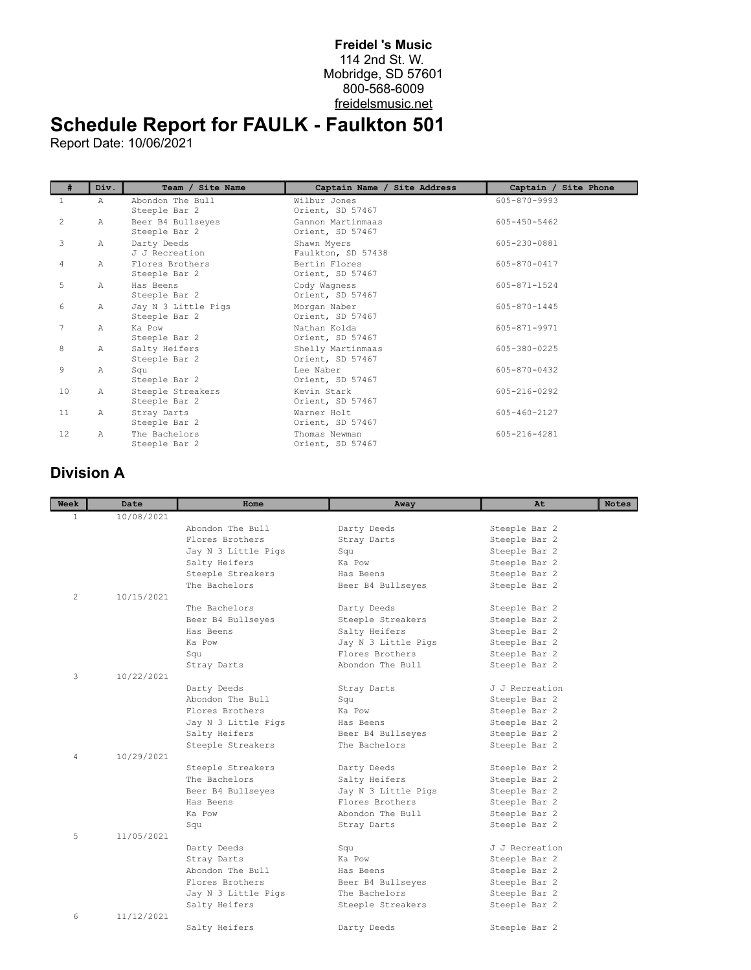## **Freidel 's Music** 114 2nd St. W. Mobridge, SD 57601 800-568-6009 freidelsmusic.net

## **Schedule Report for FAULK - Faulkton 501**

Report Date: 10/06/2021

| #                 | Div.         | Team / Site Name                     | Captain Name / Site Address           | Captain / Site Phone |
|-------------------|--------------|--------------------------------------|---------------------------------------|----------------------|
| 1                 | $\mathbb A$  | Abondon The Bull<br>Steeple Bar 2    | Wilbur Jones<br>Orient, SD 57467      | 605-870-9993         |
| 2                 | Α            | Beer B4 Bullseyes<br>Steeple Bar 2   | Gannon Martinmaas<br>Orient, SD 57467 | $605 - 450 - 5462$   |
| 3                 | $\mathbb{A}$ | Darty Deeds<br>J J Recreation        | Shawn Myers<br>Faulkton, SD 57438     | 605-230-0881         |
| $\overline{4}$    | $\mathbb{A}$ | Flores Brothers<br>Steeple Bar 2     | Bertin Flores<br>Orient, SD 57467     | 605-870-0417         |
| 5                 | Α            | Has Beens<br>Steeple Bar 2           | Cody Wagness<br>Orient, SD 57467      | 605-871-1524         |
| 6                 | Α            | Jay N 3 Little Pigs<br>Steeple Bar 2 | Morgan Naber<br>Orient, SD 57467      | 605-870-1445         |
| 7                 | A            | Ka Pow<br>Steeple Bar 2              | Nathan Kolda<br>Orient, SD 57467      | 605-871-9971         |
| 8                 | Α            | Salty Heifers<br>Steeple Bar 2       | Shelly Martinmaas<br>Orient, SD 57467 | 605-380-0225         |
| 9                 | Α            | Squ<br>Steeple Bar 2                 | Lee Naber<br>Orient, SD 57467         | 605-870-0432         |
| 10                | $\mathbb{A}$ | Steeple Streakers<br>Steeple Bar 2   | Kevin Stark<br>Orient, SD 57467       | 605-216-0292         |
| 11                | $\mathbb{A}$ | Stray Darts<br>Steeple Bar 2         | Warner Holt<br>Orient, SD 57467       | 605-460-2127         |
| $12 \overline{ }$ | A            | The Bachelors<br>Steeple Bar 2       | Thomas Newman<br>Orient, SD 57467     | 605-216-4281         |

## **Division A**

| Week         | Date       | Home                | Away                | At             | <b>Notes</b> |
|--------------|------------|---------------------|---------------------|----------------|--------------|
| $\mathbf{1}$ | 10/08/2021 |                     |                     |                |              |
|              |            | Abondon The Bull    | Darty Deeds         | Steeple Bar 2  |              |
|              |            | Flores Brothers     | Stray Darts         | Steeple Bar 2  |              |
|              |            | Jay N 3 Little Pigs | Squ                 | Steeple Bar 2  |              |
|              |            | Salty Heifers       | Ka Pow              | Steeple Bar 2  |              |
|              |            | Steeple Streakers   | Has Beens           | Steeple Bar 2  |              |
|              |            | The Bachelors       | Beer B4 Bullseyes   | Steeple Bar 2  |              |
| 2            | 10/15/2021 |                     |                     |                |              |
|              |            | The Bachelors       | Darty Deeds         | Steeple Bar 2  |              |
|              |            | Beer B4 Bullseyes   | Steeple Streakers   | Steeple Bar 2  |              |
|              |            | Has Beens           | Salty Heifers       | Steeple Bar 2  |              |
|              |            | Ka Pow              | Jay N 3 Little Pigs | Steeple Bar 2  |              |
|              |            | Squ                 | Flores Brothers     | Steeple Bar 2  |              |
|              |            | Stray Darts         | Abondon The Bull    | Steeple Bar 2  |              |
| 3            | 10/22/2021 |                     |                     |                |              |
|              |            | Darty Deeds         | Stray Darts         | J J Recreation |              |
|              |            | Abondon The Bull    | Sau                 | Steeple Bar 2  |              |
|              |            | Flores Brothers     | Ka Pow              | Steeple Bar 2  |              |
|              |            | Jay N 3 Little Pigs | Has Beens           | Steeple Bar 2  |              |
|              |            | Salty Heifers       | Beer B4 Bullseyes   | Steeple Bar 2  |              |
|              |            | Steeple Streakers   | The Bachelors       | Steeple Bar 2  |              |
| 4            | 10/29/2021 |                     |                     |                |              |
|              |            | Steeple Streakers   | Darty Deeds         | Steeple Bar 2  |              |
|              |            | The Bachelors       | Salty Heifers       | Steeple Bar 2  |              |
|              |            | Beer B4 Bullseyes   | Jay N 3 Little Pigs | Steeple Bar 2  |              |
|              |            | Has Beens           | Flores Brothers     | Steeple Bar 2  |              |
|              |            | Ka Pow              | Abondon The Bull    | Steeple Bar 2  |              |
|              |            | Squ                 | Stray Darts         | Steeple Bar 2  |              |
| 5            | 11/05/2021 |                     |                     |                |              |
|              |            | Darty Deeds         | Squ                 | J J Recreation |              |
|              |            | Stray Darts         | Ka Pow              | Steeple Bar 2  |              |
|              |            | Abondon The Bull    | Has Beens           | Steeple Bar 2  |              |
|              |            | Flores Brothers     | Beer B4 Bullseyes   | Steeple Bar 2  |              |
|              |            | Jay N 3 Little Pigs | The Bachelors       | Steeple Bar 2  |              |
|              |            | Salty Heifers       | Steeple Streakers   | Steeple Bar 2  |              |
| 6            | 11/12/2021 |                     |                     |                |              |
|              |            | Salty Heifers       | Darty Deeds         | Steeple Bar 2  |              |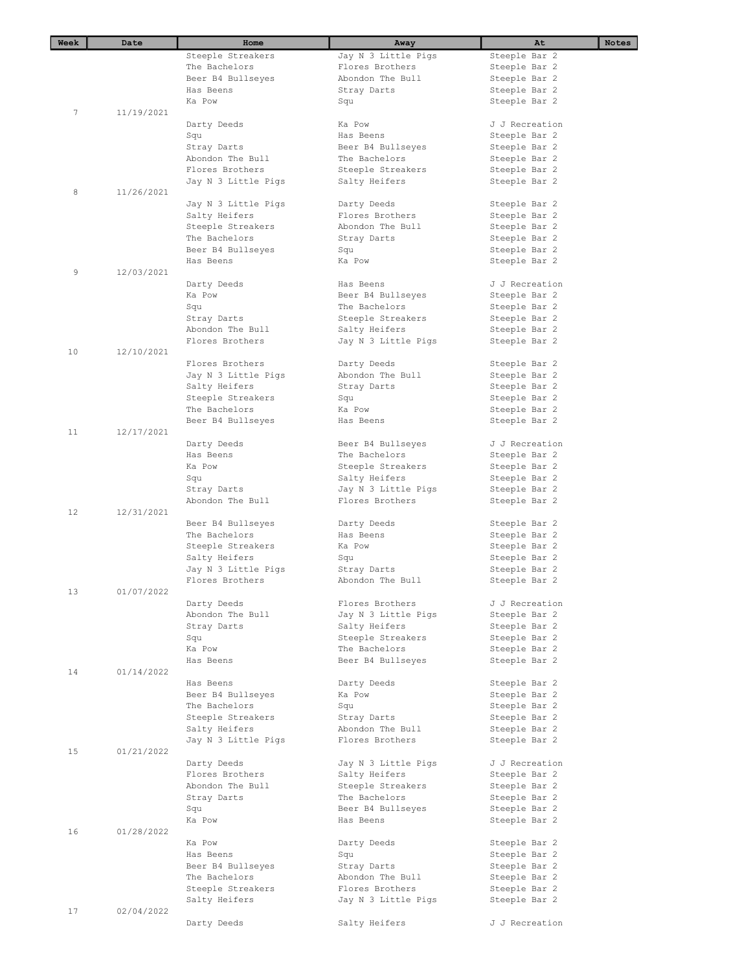| Week | Date       | Home                | Away                | At                             | Notes |
|------|------------|---------------------|---------------------|--------------------------------|-------|
|      |            | Steeple Streakers   | Jay N 3 Little Pigs | Steeple Bar 2                  |       |
|      |            | The Bachelors       | Flores Brothers     | Steeple Bar 2                  |       |
|      |            | Beer B4 Bullseyes   | Abondon The Bull    | Steeple Bar 2                  |       |
|      |            | Has Beens           | Stray Darts         | Steeple Bar 2                  |       |
|      |            | Ka Pow              | Squ                 | Steeple Bar 2                  |       |
| 7    | 11/19/2021 |                     |                     |                                |       |
|      |            | Darty Deeds         | Ka Pow              | J J Recreation                 |       |
|      |            | Squ                 | Has Beens           | Steeple Bar 2                  |       |
|      |            | Stray Darts         | Beer B4 Bullseyes   | Steeple Bar 2                  |       |
|      |            | Abondon The Bull    | The Bachelors       | Steeple Bar 2                  |       |
|      |            | Flores Brothers     | Steeple Streakers   | Steeple Bar 2                  |       |
|      |            | Jay N 3 Little Pigs | Salty Heifers       | Steeple Bar 2                  |       |
| 8    | 11/26/2021 |                     |                     |                                |       |
|      |            | Jay N 3 Little Pigs | Darty Deeds         | Steeple Bar 2                  |       |
|      |            | Salty Heifers       | Flores Brothers     | Steeple Bar 2                  |       |
|      |            | Steeple Streakers   | Abondon The Bull    | Steeple Bar 2                  |       |
|      |            | The Bachelors       | Stray Darts         | Steeple Bar 2                  |       |
|      |            | Beer B4 Bullseyes   | Squ                 | Steeple Bar 2                  |       |
|      |            | Has Beens           | Ka Pow              | Steeple Bar 2                  |       |
| 9    | 12/03/2021 |                     |                     |                                |       |
|      |            | Darty Deeds         | Has Beens           | J J Recreation                 |       |
|      |            | Ka Pow              | Beer B4 Bullseyes   | Steeple Bar 2                  |       |
|      |            |                     | The Bachelors       |                                |       |
|      |            | Squ<br>Stray Darts  | Steeple Streakers   | Steeple Bar 2                  |       |
|      |            | Abondon The Bull    |                     | Steeple Bar 2<br>Steeple Bar 2 |       |
|      |            | Flores Brothers     | Salty Heifers       |                                |       |
| 10   | 12/10/2021 |                     | Jay N 3 Little Pigs | Steeple Bar 2                  |       |
|      |            | Flores Brothers     | Darty Deeds         | Steeple Bar 2                  |       |
|      |            | Jay N 3 Little Pigs | Abondon The Bull    | Steeple Bar 2                  |       |
|      |            | Salty Heifers       | Stray Darts         | Steeple Bar 2                  |       |
|      |            | Steeple Streakers   | Squ                 | Steeple Bar 2                  |       |
|      |            | The Bachelors       | Ka Pow              | Steeple Bar 2                  |       |
|      |            |                     | Has Beens           |                                |       |
| 11   | 12/17/2021 | Beer B4 Bullseyes   |                     | Steeple Bar 2                  |       |
|      |            | Darty Deeds         | Beer B4 Bullseyes   | J J Recreation                 |       |
|      |            | Has Beens           | The Bachelors       | Steeple Bar 2                  |       |
|      |            | Ka Pow              | Steeple Streakers   | Steeple Bar 2                  |       |
|      |            | Squ                 | Salty Heifers       | Steeple Bar 2                  |       |
|      |            | Stray Darts         | Jay N 3 Little Pigs | Steeple Bar 2                  |       |
|      |            | Abondon The Bull    | Flores Brothers     | Steeple Bar 2                  |       |
| 12   | 12/31/2021 |                     |                     |                                |       |
|      |            | Beer B4 Bullseyes   | Darty Deeds         | Steeple Bar 2                  |       |
|      |            | The Bachelors       | Has Beens           | Steeple Bar 2                  |       |
|      |            | Steeple Streakers   | Ka Pow              | Steeple Bar 2                  |       |
|      |            | Salty Heifers       | Squ                 | Steeple Bar 2                  |       |
|      |            | Jay N 3 Little Pigs | Stray Darts         | Steeple Bar 2                  |       |
|      |            | Flores Brothers     | Abondon The Bull    | Steeple Bar 2                  |       |
| 13   | 01/07/2022 |                     |                     |                                |       |
|      |            | Darty Deeds         | Flores Brothers     | J J Recreation                 |       |
|      |            | Abondon The Bull    | Jay N 3 Little Pigs | Steeple Bar 2                  |       |
|      |            | Stray Darts         | Salty Heifers       | Steeple Bar 2                  |       |
|      |            | Squ                 | Steeple Streakers   | Steeple Bar 2                  |       |
|      |            | Ka Pow              | The Bachelors       | Steeple Bar 2                  |       |
|      |            | Has Beens           | Beer B4 Bullseyes   | Steeple Bar 2                  |       |
| 14   | 01/14/2022 |                     |                     |                                |       |
|      |            | Has Beens           | Darty Deeds         | Steeple Bar 2                  |       |
|      |            | Beer B4 Bullseyes   | Ka Pow              | Steeple Bar 2                  |       |
|      |            | The Bachelors       | Squ                 | Steeple Bar 2                  |       |
|      |            | Steeple Streakers   | Stray Darts         | Steeple Bar 2                  |       |
|      |            | Salty Heifers       | Abondon The Bull    | Steeple Bar 2                  |       |
|      |            | Jay N 3 Little Pigs | Flores Brothers     | Steeple Bar 2                  |       |
| 15   | 01/21/2022 |                     |                     |                                |       |
|      |            | Darty Deeds         | Jay N 3 Little Pigs | J J Recreation                 |       |
|      |            | Flores Brothers     | Salty Heifers       | Steeple Bar 2                  |       |
|      |            | Abondon The Bull    | Steeple Streakers   | Steeple Bar 2                  |       |
|      |            | Stray Darts         | The Bachelors       | Steeple Bar 2                  |       |
|      |            | Squ                 | Beer B4 Bullseyes   | Steeple Bar 2                  |       |
|      |            | Ka Pow              | Has Beens           | Steeple Bar 2                  |       |
| 16   | 01/28/2022 |                     |                     |                                |       |
|      |            | Ka Pow              | Darty Deeds         | Steeple Bar 2                  |       |
|      |            | Has Beens           | Squ                 | Steeple Bar 2                  |       |
|      |            | Beer B4 Bullseyes   | Stray Darts         | Steeple Bar 2                  |       |
|      |            | The Bachelors       | Abondon The Bull    | Steeple Bar 2                  |       |
|      |            | Steeple Streakers   | Flores Brothers     | Steeple Bar 2                  |       |
|      |            | Salty Heifers       | Jay N 3 Little Pigs | Steeple Bar 2                  |       |
| 17   | 02/04/2022 |                     |                     |                                |       |
|      |            | Darty Deeds         | Salty Heifers       | J J Recreation                 |       |